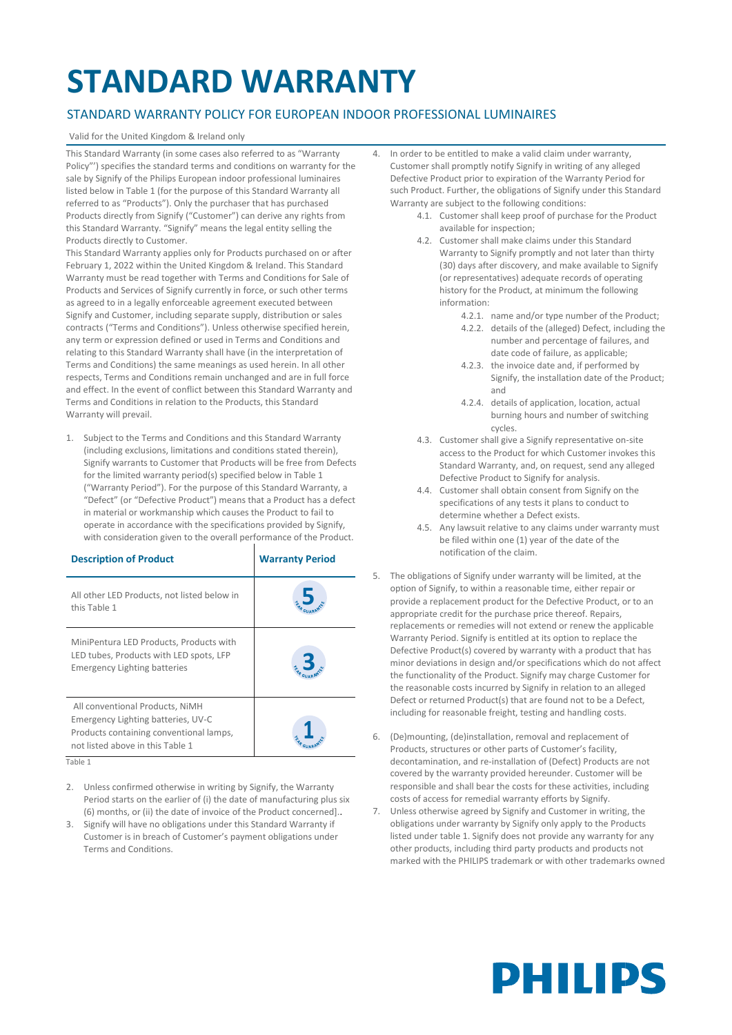### **STANDARD WARRANTY**

### STANDARD WARRANTY POLICY FOR EUROPEAN INDOOR PROFESSIONAL LUMINAIRES

#### Valid for the United Kingdom & Ireland only

This Standard Warranty (in some cases also referred to as "Warranty Policy"') specifies the standard terms and conditions on warranty for the sale by Signify of the Philips European indoor professional luminaires listed below in Table 1 (for the purpose of this Standard Warranty all referred to as "Products"). Only the purchaser that has purchased Products directly from Signify ("Customer") can derive any rights from this Standard Warranty. "Signify" means the legal entity selling the Products directly to Customer.

This Standard Warranty applies only for Products purchased on or after February 1, 2022 within the United Kingdom & Ireland. This Standard Warranty must be read together with Terms and Conditions for Sale of Products and Services of Signify currently in force, or such other terms as agreed to in a legally enforceable agreement executed between Signify and Customer, including separate supply, distribution or sales contracts ("Terms and Conditions"). Unless otherwise specified herein, any term or expression defined or used in Terms and Conditions and relating to this Standard Warranty shall have (in the interpretation of Terms and Conditions) the same meanings as used herein. In all other respects, Terms and Conditions remain unchanged and are in full force and effect. In the event of conflict between this Standard Warranty and Terms and Conditions in relation to the Products, this Standard Warranty will prevail.

1. Subject to the Terms and Conditions and this Standard Warranty (including exclusions, limitations and conditions stated therein), Signify warrants to Customer that Products will be free from Defects for the limited warranty period(s) specified below in Table 1 ("Warranty Period"). For the purpose of this Standard Warranty, a "Defect" (or "Defective Product") means that a Product has a defect in material or workmanship which causes the Product to fail to operate in accordance with the specifications provided by Signify, with consideration given to the overall performance of the Product.

| <b>Description of Product</b>                                                                                                                        | <b>Warranty Period</b> |
|------------------------------------------------------------------------------------------------------------------------------------------------------|------------------------|
| All other LED Products, not listed below in<br>this Table 1                                                                                          |                        |
| MiniPentura LED Products, Products with<br>LED tubes, Products with LED spots, LFP<br><b>Emergency Lighting batteries</b>                            |                        |
| All conventional Products, NiMH<br>Emergency Lighting batteries, UV-C<br>Products containing conventional lamps,<br>not listed above in this Table 1 |                        |

Table 1

- 2. Unless confirmed otherwise in writing by Signify, the Warranty Period starts on the earlier of (i) the date of manufacturing plus six (6) months, or (ii) the date of invoice of the Product concerned]..
- 3. Signify will have no obligations under this Standard Warranty if Customer is in breach of Customer's payment obligations under Terms and Conditions.
- 4. In order to be entitled to make a valid claim under warranty, Customer shall promptly notify Signify in writing of any alleged Defective Product prior to expiration of the Warranty Period for such Product. Further, the obligations of Signify under this Standard Warranty are subject to the following conditions:
	- 4.1. Customer shall keep proof of purchase for the Product available for inspection;
	- 4.2. Customer shall make claims under this Standard Warranty to Signify promptly and not later than thirty (30) days after discovery, and make available to Signify (or representatives) adequate records of operating history for the Product, at minimum the following information:
		- 4.2.1. name and/or type number of the Product;
		- 4.2.2. details of the (alleged) Defect, including the number and percentage of failures, and date code of failure, as applicable;
		- 4.2.3. the invoice date and, if performed by Signify, the installation date of the Product; and
		- 4.2.4. details of application, location, actual burning hours and number of switching cycles.
	- 4.3. Customer shall give a Signify representative on-site access to the Product for which Customer invokes this Standard Warranty, and, on request, send any alleged Defective Product to Signify for analysis.
	- 4.4. Customer shall obtain consent from Signify on the specifications of any tests it plans to conduct to determine whether a Defect exists.
	- 4.5. Any lawsuit relative to any claims under warranty must be filed within one (1) year of the date of the notification of the claim.
- 5. The obligations of Signify under warranty will be limited, at the option of Signify, to within a reasonable time, either repair or provide a replacement product for the Defective Product, or to an appropriate credit for the purchase price thereof. Repairs, replacements or remedies will not extend or renew the applicable Warranty Period. Signify is entitled at its option to replace the Defective Product(s) covered by warranty with a product that has minor deviations in design and/or specifications which do not affect the functionality of the Product. Signify may charge Customer for the reasonable costs incurred by Signify in relation to an alleged Defect or returned Product(s) that are found not to be a Defect, including for reasonable freight, testing and handling costs.
- 6. (De)mounting, (de)installation, removal and replacement of Products, structures or other parts of Customer's facility, decontamination, and re-installation of (Defect) Products are not covered by the warranty provided hereunder. Customer will be responsible and shall bear the costs for these activities, including costs of access for remedial warranty efforts by Signify.
- 7. Unless otherwise agreed by Signify and Customer in writing, the obligations under warranty by Signify only apply to the Products listed under table 1. Signify does not provide any warranty for any other products, including third party products and products not marked with the PHILIPS trademark or with other trademarks owned

# **PHILIPS**